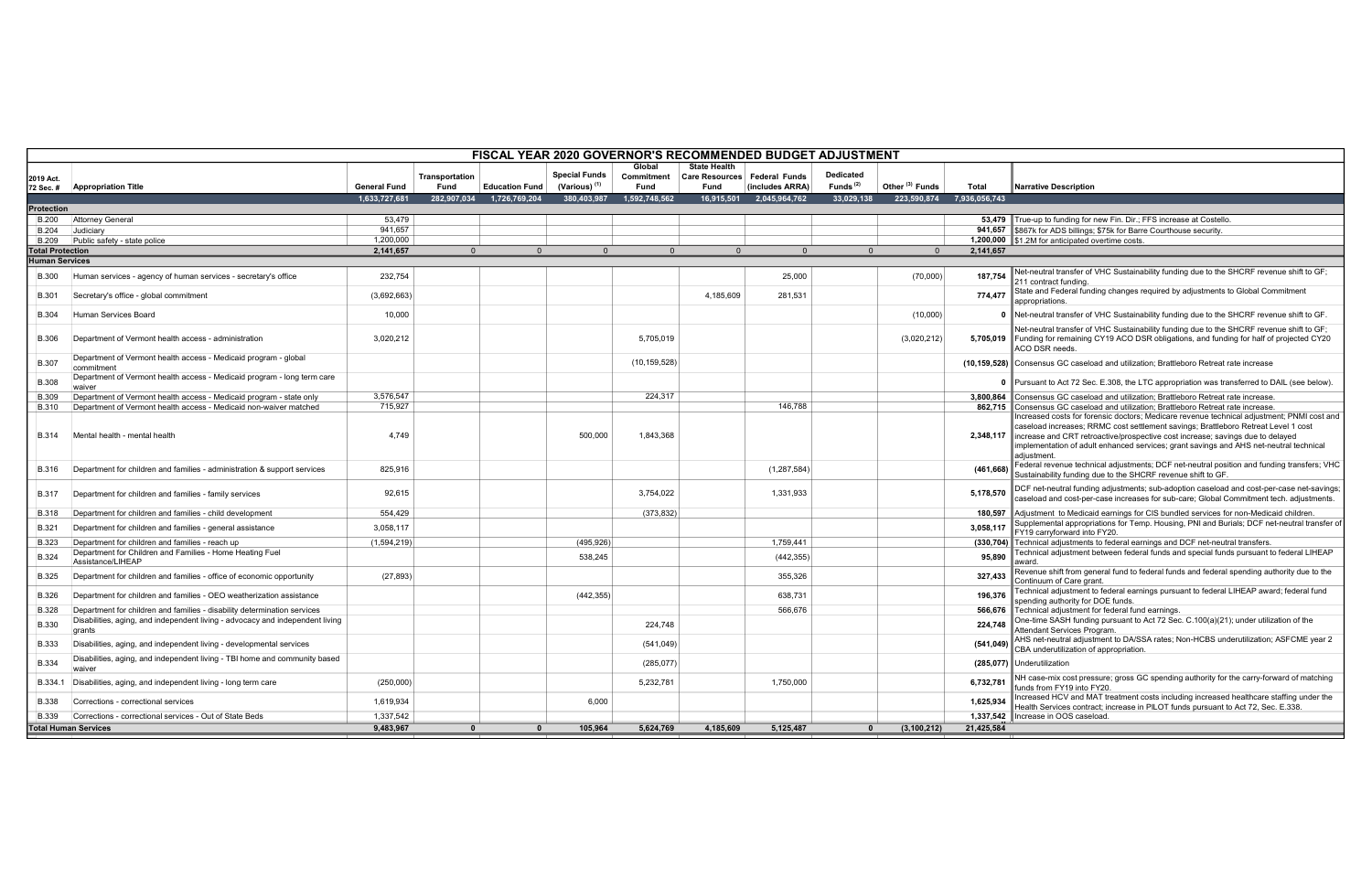True-up to funding for new Fin. Dir.; FFS increase at Costello. \$867k for ADS billings; \$75k for Barre Courthouse security. **S1.2M for anticipated overtime costs.** Net-neutral transfer of VHC Sustainability funding due to the SHCRF revenue shift to GF; 211 contract funding. State and Federal funding changes required by adjustments to Global Commitment appropriations. Net-neutral transfer of VHC Sustainability funding due to the SHCRF revenue shift to GF. Net-neutral transfer of VHC Sustainability funding due to the SHCRF revenue shift to GF; Funding for remaining CY19 ACO DSR obligations, and funding for half of projected CY20 ACO DSR needs. Consensus GC caseload and utilization; Brattleboro Retreat rate increase Pursuant to Act 72 Sec. E.308, the LTC appropriation was transferred to DAIL (see below). Consensus GC caseload and utilization; Brattleboro Retreat rate increase. Consensus GC caseload and utilization; Brattleboro Retreat rate increase. Increased costs for forensic doctors; Medicare revenue technical adjustment; PNMI cost and caseload increases; RRMC cost settlement savings; Brattleboro Retreat Level 1 cost increase and CRT retroactive/prospective cost increase; savings due to delayed implementation of adult enhanced services; grant savings and AHS net-neutral technical adjustment. Federal revenue technical adjustments; DCF net-neutral position and funding transfers; VHC Sustainability funding due to the SHCRF revenue shift to GF. DCF net-neutral funding adjustments; sub-adoption caseload and cost-per-case net-savings; caseload and cost-per-case increases for sub-care; Global Commitment tech. adjustments. Adjustment to Medicaid earnings for CIS bundled services for non-Medicaid children. Supplemental appropriations for Temp. Housing, PNI and Burials; DCF net-neutral transfer of FY19 carryforward into FY20. **Technical adjustments to federal earnings and DCF net-neutral transfers.** Technical adjustment between federal funds and special funds pursuant to federal LIHEAP award. Revenue shift from general fund to federal funds and federal spending authority due to the Continuum of Care grant. Behartation of Safe grams<br>Technical adjustment to federal earnings pursuant to federal LIHEAP award; federal fund spending authority for DOE funds. Attendant Services Program. AHS net-neutral adjustment to DA/SSA rates; Non-HCBS underutilization; ASFCME year 2 CBA underutilization of appropriation. NH case-mix cost pressure; gross GC spending authority for the carry-forward of matching funds from FY19 into FY20. Increased HCV and MAT treatment costs including increased healthcare staffing under the Health Services contract; increase in PILOT funds pursuant to Act 72, Sec. E.338.

|                       | FISCAL YEAR 2020 GOVERNOR'S RECOMMENDED BUDGET ADJUSTMENT                                                                                          |                     |                               |                       |                                                  |                    |                                        |                 |                          |                            |               |                                                                                                                                                                                                                                                                                                                                                                                                                                                                   |
|-----------------------|----------------------------------------------------------------------------------------------------------------------------------------------------|---------------------|-------------------------------|-----------------------|--------------------------------------------------|--------------------|----------------------------------------|-----------------|--------------------------|----------------------------|---------------|-------------------------------------------------------------------------------------------------------------------------------------------------------------------------------------------------------------------------------------------------------------------------------------------------------------------------------------------------------------------------------------------------------------------------------------------------------------------|
|                       |                                                                                                                                                    |                     |                               |                       |                                                  | Global             | <b>State Health</b>                    |                 |                          |                            |               |                                                                                                                                                                                                                                                                                                                                                                                                                                                                   |
| 2019 Act.             | 72 Sec. #   Appropriation Title                                                                                                                    | <b>General Fund</b> | Transportation<br><b>Fund</b> | <b>Education Fund</b> | <b>Special Funds</b><br>(Various) <sup>(1)</sup> | Commitment<br>Fund | Care Resources   Federal Funds<br>Fund | (includes ARRA) | Dedicated<br>Funds $(2)$ | Other <sup>(3)</sup> Funds | Total         | <b>Narrative Description</b>                                                                                                                                                                                                                                                                                                                                                                                                                                      |
|                       |                                                                                                                                                    | 1,633,727,681       | 282,907,034                   | 1,726,769,204         | 380.403.987                                      | 1,592,748,562      | 16,915,501                             | 2,045,964,762   | 33.029.138               | 223.590.874                | 7.936.056.743 |                                                                                                                                                                                                                                                                                                                                                                                                                                                                   |
| Protection            |                                                                                                                                                    |                     |                               |                       |                                                  |                    |                                        |                 |                          |                            |               |                                                                                                                                                                                                                                                                                                                                                                                                                                                                   |
| <b>B.200</b>          | <b>Attorney General</b>                                                                                                                            | 53,479              |                               |                       |                                                  |                    |                                        |                 |                          |                            |               | 53,479 True-up to funding for new Fin. Dir.; FFS increase at Costello.                                                                                                                                                                                                                                                                                                                                                                                            |
|                       | $B.204$ Judiciary                                                                                                                                  | 941,657             |                               |                       |                                                  |                    |                                        |                 |                          |                            |               | 941,657 \$867k for ADS billings; \$75k for Barre Courthouse security.                                                                                                                                                                                                                                                                                                                                                                                             |
|                       | B.209 Public safety - state police                                                                                                                 | 1,200,000           |                               |                       |                                                  |                    |                                        |                 |                          |                            |               | 1,200,000 \$1.2M for anticipated overtime costs.                                                                                                                                                                                                                                                                                                                                                                                                                  |
| Total Protection      |                                                                                                                                                    | 2,141,657           | $\Omega$                      | $\Omega$              | $\Omega$                                         | $\Omega$           | $\Omega$                               | $\Omega$        |                          | $\overline{0}$             | 2,141,657     |                                                                                                                                                                                                                                                                                                                                                                                                                                                                   |
| <b>Human Services</b> |                                                                                                                                                    |                     |                               |                       |                                                  |                    |                                        |                 |                          |                            |               |                                                                                                                                                                                                                                                                                                                                                                                                                                                                   |
| <b>B.300</b>          | Human services - agency of human services - secretary's office                                                                                     | 232,754             |                               |                       |                                                  |                    |                                        | 25,000          |                          | (70,000)                   | 187,754       | Net-neutral transfer of VHC Sustainability funding due to the SHCRF revenue shift to<br>211 contract funding.                                                                                                                                                                                                                                                                                                                                                     |
| <b>B.301</b>          | Secretary's office - global commitment                                                                                                             | (3,692,663)         |                               |                       |                                                  |                    | 4,185,609                              | 281,531         |                          |                            | 774,477       | State and Federal funding changes required by adjustments to Global Commitment<br>appropriations.                                                                                                                                                                                                                                                                                                                                                                 |
| <b>B.304</b>          | Human Services Board                                                                                                                               | 10,000              |                               |                       |                                                  |                    |                                        |                 |                          | (10,000)                   |               | 0 Net-neutral transfer of VHC Sustainability funding due to the SHCRF revenue shift to                                                                                                                                                                                                                                                                                                                                                                            |
| <b>B.306</b>          | Department of Vermont health access - administration                                                                                               | 3,020,212           |                               |                       |                                                  | 5,705,019          |                                        |                 |                          | (3,020,212)                |               | Net-neutral transfer of VHC Sustainability funding due to the SHCRF revenue shift to<br>5,705,019 Funding for remaining CY19 ACO DSR obligations, and funding for half of projected C<br>ACO DSR needs.                                                                                                                                                                                                                                                           |
| <b>B.307</b>          | Department of Vermont health access - Medicaid program - global<br>commitment                                                                      |                     |                               |                       |                                                  | (10, 159, 528)     |                                        |                 |                          |                            |               | (10,159,528) Consensus GC caseload and utilization; Brattleboro Retreat rate increase                                                                                                                                                                                                                                                                                                                                                                             |
| <b>B.308</b>          | Department of Vermont health access - Medicaid program - long term care<br>waiver                                                                  |                     |                               |                       |                                                  |                    |                                        |                 |                          |                            |               | 0 Pursuant to Act 72 Sec. E.308, the LTC appropriation was transferred to DAIL (see be                                                                                                                                                                                                                                                                                                                                                                            |
| <b>B.309</b>          | Department of Vermont health access - Medicaid program - state only                                                                                | 3,576,547           |                               |                       |                                                  | 224,317            |                                        |                 |                          |                            |               | 3.800.864 Consensus GC caseload and utilization: Brattleboro Retreat rate increase.                                                                                                                                                                                                                                                                                                                                                                               |
| B.310<br>B.314        | Department of Vermont health access - Medicaid non-waiver matched<br>Mental health - mental health                                                 | 715,927<br>4,749    |                               |                       | 500,000                                          | 1,843,368          |                                        | 146,788         |                          |                            |               | 862,715 Consensus GC caseload and utilization; Brattleboro Retreat rate increase.<br>Increased costs for forensic doctors; Medicare revenue technical adjustment; PNMI co<br>caseload increases; RRMC cost settlement savings; Brattleboro Retreat Level 1 cost<br>2,348,117 lincrease and CRT retroactive/prospective cost increase; savings due to delayed<br>implementation of adult enhanced services; grant savings and AHS net-neutral techni<br>adiustment |
| B.316                 | Department for children and families - administration & support services                                                                           | 825,916             |                               |                       |                                                  |                    |                                        | (1, 287, 584)   |                          |                            | (461, 668)    | Federal revenue technical adjustments; DCF net-neutral position and funding transfer<br>Sustainability funding due to the SHCRF revenue shift to GF.                                                                                                                                                                                                                                                                                                              |
| B.317                 | Department for children and families - family services                                                                                             | 92,615              |                               |                       |                                                  | 3,754,022          |                                        | 1,331,933       |                          |                            | 5,178,570     | DCF net-neutral funding adjustments; sub-adoption caseload and cost-per-case net-s<br>caseload and cost-per-case increases for sub-care; Global Commitment tech. adjustn                                                                                                                                                                                                                                                                                          |
| B.318                 | Department for children and families - child development                                                                                           | 554,429             |                               |                       |                                                  | (373, 832)         |                                        |                 |                          |                            |               | 180,597 Adjustment to Medicaid earnings for CIS bundled services for non-Medicaid children.                                                                                                                                                                                                                                                                                                                                                                       |
| <b>B.321</b>          | Department for children and families - general assistance                                                                                          | 3,058,117           |                               |                       |                                                  |                    |                                        |                 |                          |                            | 3,058,117     | Supplemental appropriations for Temp. Housing, PNI and Burials; DCF net-neutral tra<br>FY19 carryforward into FY20.                                                                                                                                                                                                                                                                                                                                               |
| <b>B.323</b>          | Department for children and families - reach up                                                                                                    | (1,594,219)         |                               |                       | (495, 926)                                       |                    |                                        | 1,759,441       |                          |                            |               | (330,704) Technical adjustments to federal earnings and DCF net-neutral transfers.                                                                                                                                                                                                                                                                                                                                                                                |
| <b>B.324</b>          | Department for Children and Families - Home Heating Fuel<br>Assistance/LIHEAP                                                                      |                     |                               |                       | 538,245                                          |                    |                                        | (442, 355)      |                          |                            | 95,890        | Technical adjustment between federal funds and special funds pursuant to federal LIF<br>award                                                                                                                                                                                                                                                                                                                                                                     |
| <b>B.325</b>          | Department for children and families - office of economic opportunity                                                                              | (27, 893)           |                               |                       |                                                  |                    |                                        | 355,326         |                          |                            | 327,433       | Revenue shift from general fund to federal funds and federal spending authority due to<br>Continuum of Care grant.                                                                                                                                                                                                                                                                                                                                                |
| <b>B.326</b>          | Department for children and families - OEO weatherization assistance                                                                               |                     |                               |                       | (442, 355)                                       |                    |                                        | 638,731         |                          |                            | 196,376       | Technical adjustment to federal earnings pursuant to federal LIHEAP award; federal fi<br>spending authority for DOE funds.                                                                                                                                                                                                                                                                                                                                        |
| <b>B.328</b>          | Department for children and families - disability determination services                                                                           |                     |                               |                       |                                                  |                    |                                        | 566,676         |                          |                            |               | 566,676 Technical adjustment for federal fund earnings.<br>One-time SASH funding pursuant to Act 72 Sec. C.100(a)(21); under utilization of the                                                                                                                                                                                                                                                                                                                   |
| <b>B.330</b>          | Disabilities, aging, and independent living - advocacy and independent living<br>grants                                                            |                     |                               |                       |                                                  | 224,748            |                                        |                 |                          |                            | 224,748       | Attendant Services Program.<br>AHS net-neutral adjustment to DA/SSA rates; Non-HCBS underutilization; ASFCME y                                                                                                                                                                                                                                                                                                                                                    |
| <b>B.333</b>          | Disabilities, aging, and independent living - developmental services<br>Disabilities, aging, and independent living - TBI home and community based |                     |                               |                       |                                                  | (541, 049)         |                                        |                 |                          |                            |               | $(541,049)$ CBA underutilization of appropriation.                                                                                                                                                                                                                                                                                                                                                                                                                |
| <b>B.334</b>          | waiver                                                                                                                                             |                     |                               |                       |                                                  | (285, 077)         |                                        |                 |                          |                            |               | (285,077) Underutilization                                                                                                                                                                                                                                                                                                                                                                                                                                        |
| B.334.1               | Disabilities, aging, and independent living - long term care                                                                                       | (250,000)           |                               |                       |                                                  | 5,232,781          |                                        | 1,750,000       |                          |                            | 6,732,781     | NH case-mix cost pressure; gross GC spending authority for the carry-forward of mate<br>funds from FY19 into FY20.                                                                                                                                                                                                                                                                                                                                                |
| B.338                 | Corrections - correctional services                                                                                                                | 1,619,934           |                               |                       | 6,000                                            |                    |                                        |                 |                          |                            | 1,625,934     | Increased HCV and MAT treatment costs including increased healthcare staffing unde<br>Health Services contract: increase in PILOT funds pursuant to Act 72, Sec. E.338.                                                                                                                                                                                                                                                                                           |
| <b>B.339</b>          | Corrections - correctional services - Out of State Beds                                                                                            | 1,337,542           |                               |                       |                                                  |                    |                                        |                 |                          |                            |               | 1,337,542   Increase in OOS caseload.                                                                                                                                                                                                                                                                                                                                                                                                                             |
|                       | Total Human Services                                                                                                                               | 9,483,967           | $\mathbf{0}$                  |                       | 105,964                                          | 5,624,769          | 4,185,609                              | 5,125,487       |                          | (3, 100, 212)              | 21,425,584    |                                                                                                                                                                                                                                                                                                                                                                                                                                                                   |

## Narrative Description